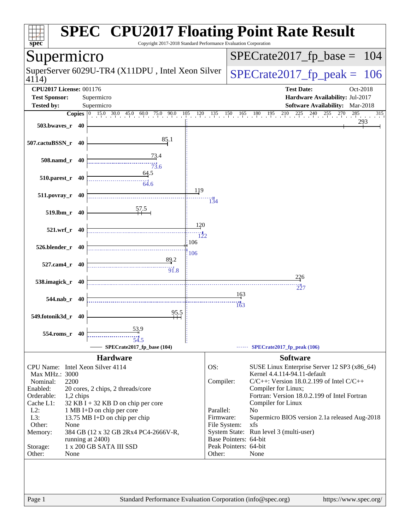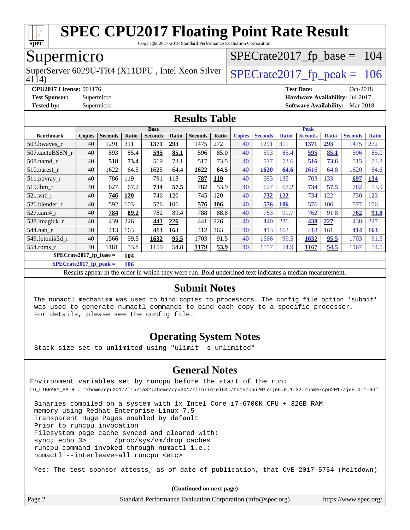

Copyright 2017-2018 Standard Performance Evaluation Corporation

### Supermicro

4114) SuperServer 6029U-TR4 (X11DPU, Intel Xeon Silver  $\big|$  [SPECrate2017\\_fp\\_peak =](http://www.spec.org/auto/cpu2017/Docs/result-fields.html#SPECrate2017fppeak) 106

[SPECrate2017\\_fp\\_base =](http://www.spec.org/auto/cpu2017/Docs/result-fields.html#SPECrate2017fpbase) 104

**[CPU2017 License:](http://www.spec.org/auto/cpu2017/Docs/result-fields.html#CPU2017License)** 001176 **[Test Date:](http://www.spec.org/auto/cpu2017/Docs/result-fields.html#TestDate)** Oct-2018 **[Test Sponsor:](http://www.spec.org/auto/cpu2017/Docs/result-fields.html#TestSponsor)** Supermicro **[Hardware Availability:](http://www.spec.org/auto/cpu2017/Docs/result-fields.html#HardwareAvailability)** Jul-2017 **[Tested by:](http://www.spec.org/auto/cpu2017/Docs/result-fields.html#Testedby)** Supermicro **[Software Availability:](http://www.spec.org/auto/cpu2017/Docs/result-fields.html#SoftwareAvailability)** Mar-2018

#### **[Results Table](http://www.spec.org/auto/cpu2017/Docs/result-fields.html#ResultsTable)**

|                          | <b>Base</b>   |                |            |                |       | <b>Peak</b>    |            |               |                |              |                |              |                |              |
|--------------------------|---------------|----------------|------------|----------------|-------|----------------|------------|---------------|----------------|--------------|----------------|--------------|----------------|--------------|
| <b>Benchmark</b>         | <b>Copies</b> | <b>Seconds</b> | Ratio      | <b>Seconds</b> | Ratio | <b>Seconds</b> | Ratio      | <b>Copies</b> | <b>Seconds</b> | <b>Ratio</b> | <b>Seconds</b> | <b>Ratio</b> | <b>Seconds</b> | <b>Ratio</b> |
| 503.bwaves r             | 40            | 1291           | 311        | 1371           | 293   | 1475           | 272        | 40            | 1291           | 311          | 1371           | 293          | 1475           | 272          |
| 507.cactuBSSN r          | 40            | 593            | 85.4       | 595            | 85.1  | 596            | 85.0       | 40            | 593            | 85.4         | 595            | 85.1         | 596            | 85.0         |
| $508$ .namd $r$          | 40            | 518            | 73.4       | 519            | 73.1  | 517            | 73.5       | 40            | 517            | 73.6         | 516            | 73.6         | 515            | 73.8         |
| 510.parest_r             | 40            | 1622           | 64.5       | 1625           | 64.4  | 1622           | 64.5       | 40            | 1620           | 64.6         | 1616           | 64.8         | 1620           | 64.6         |
| 511.povray_r             | 40            | 786            | 119        | 791            | 118   | 787            | <u>119</u> | 40            | 693            | 135          | 703            | 133          | 697            | <u>134</u>   |
| 519.1bm r                | 40            | 627            | 67.2       | 734            | 57.5  | 782            | 53.9       | 40            | 627            | 67.2         | 734            | 57.5         | 782            | 53.9         |
| $521$ .wrf r             | 40            | 746            | <b>120</b> | 746            | 120   | 745            | 120        | 40            | 732            | <u>122</u>   | 734            | 122          | 730            | 123          |
| 526.blender r            | 40            | 592            | 103        | 576            | 106   | 576            | 106        | 40            | 576            | <b>106</b>   | 576            | 106          | 577            | 106          |
| 527.cam4 r               | 40            | 784            | 89.2       | 782            | 89.4  | 788            | 88.8       | 40            | 763            | 91.7         | 762            | 91.8         | 762            | 91.8         |
| 538.imagick_r            | 40            | 439            | 226        | 441            | 226   | 441            | 226        | 40            | 440            | 226          | 438            | <b>227</b>   | 438            | 227          |
| 544.nab_r                | 40            | 413            | 163        | 413            | 163   | 412            | 163        | 40            | 413            | 163          | 418            | 161          | 414            | 163          |
| 549.fotonik3d r          | 40            | 1566           | 99.5       | 1632           | 95.5  | 1703           | 91.5       | 40            | 1566           | 99.5         | 1632           | 95.5         | 1703           | 91.5         |
| $554$ .roms r            | 40            | 1181           | 53.8       | 1159           | 54.8  | 1179           | 53.9       | 40            | 1157           | 54.9         | <b>1167</b>    | 54.5         | 1167           | 54.5         |
| $SPECrate2017$ fp base = |               |                | 104        |                |       |                |            |               |                |              |                |              |                |              |

**[SPECrate2017\\_fp\\_peak =](http://www.spec.org/auto/cpu2017/Docs/result-fields.html#SPECrate2017fppeak) 106**

Results appear in the [order in which they were run.](http://www.spec.org/auto/cpu2017/Docs/result-fields.html#RunOrder) Bold underlined text [indicates a median measurement.](http://www.spec.org/auto/cpu2017/Docs/result-fields.html#Median)

#### **[Submit Notes](http://www.spec.org/auto/cpu2017/Docs/result-fields.html#SubmitNotes)**

 The numactl mechanism was used to bind copies to processors. The config file option 'submit' was used to generate numactl commands to bind each copy to a specific processor. For details, please see the config file.

#### **[Operating System Notes](http://www.spec.org/auto/cpu2017/Docs/result-fields.html#OperatingSystemNotes)**

Stack size set to unlimited using "ulimit -s unlimited"

#### **[General Notes](http://www.spec.org/auto/cpu2017/Docs/result-fields.html#GeneralNotes)**

Environment variables set by runcpu before the start of the run: LD\_LIBRARY\_PATH = "/home/cpu2017/lib/ia32:/home/cpu2017/lib/intel64:/home/cpu2017/je5.0.1-32:/home/cpu2017/je5.0.1-64"

 Binaries compiled on a system with 1x Intel Core i7-6700K CPU + 32GB RAM memory using Redhat Enterprise Linux 7.5 Transparent Huge Pages enabled by default Prior to runcpu invocation Filesystem page cache synced and cleared with: sync; echo 3> /proc/sys/vm/drop\_caches runcpu command invoked through numactl i.e.: numactl --interleave=all runcpu <etc>

Yes: The test sponsor attests, as of date of publication, that CVE-2017-5754 (Meltdown)

**(Continued on next page)**

| Page 2 | Standard Performance Evaluation Corporation (info@spec.org) | https://www.spec.org/ |
|--------|-------------------------------------------------------------|-----------------------|
|--------|-------------------------------------------------------------|-----------------------|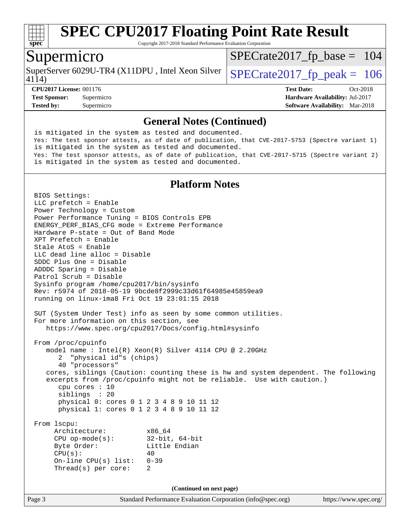

Copyright 2017-2018 Standard Performance Evaluation Corporation

### Supermicro

SuperServer 6029U-TR4 (X11DPU, Intel Xeon Silver  $\big|$  [SPECrate2017\\_fp\\_peak =](http://www.spec.org/auto/cpu2017/Docs/result-fields.html#SPECrate2017fppeak) 106

[SPECrate2017\\_fp\\_base =](http://www.spec.org/auto/cpu2017/Docs/result-fields.html#SPECrate2017fpbase) 104

4114)

**[CPU2017 License:](http://www.spec.org/auto/cpu2017/Docs/result-fields.html#CPU2017License)** 001176 **[Test Date:](http://www.spec.org/auto/cpu2017/Docs/result-fields.html#TestDate)** Oct-2018 **[Test Sponsor:](http://www.spec.org/auto/cpu2017/Docs/result-fields.html#TestSponsor)** Supermicro **[Hardware Availability:](http://www.spec.org/auto/cpu2017/Docs/result-fields.html#HardwareAvailability)** Jul-2017 **[Tested by:](http://www.spec.org/auto/cpu2017/Docs/result-fields.html#Testedby)** Supermicro **[Software Availability:](http://www.spec.org/auto/cpu2017/Docs/result-fields.html#SoftwareAvailability)** Mar-2018

#### **[General Notes \(Continued\)](http://www.spec.org/auto/cpu2017/Docs/result-fields.html#GeneralNotes)**

 is mitigated in the system as tested and documented. Yes: The test sponsor attests, as of date of publication, that CVE-2017-5753 (Spectre variant 1) is mitigated in the system as tested and documented. Yes: The test sponsor attests, as of date of publication, that CVE-2017-5715 (Spectre variant 2) is mitigated in the system as tested and documented.

#### **[Platform Notes](http://www.spec.org/auto/cpu2017/Docs/result-fields.html#PlatformNotes)**

Page 3 Standard Performance Evaluation Corporation [\(info@spec.org\)](mailto:info@spec.org) <https://www.spec.org/> BIOS Settings: LLC prefetch = Enable Power Technology = Custom Power Performance Tuning = BIOS Controls EPB ENERGY\_PERF\_BIAS\_CFG mode = Extreme Performance Hardware P-state = Out of Band Mode XPT Prefetch = Enable Stale AtoS = Enable LLC dead line alloc = Disable SDDC Plus One = Disable ADDDC Sparing = Disable Patrol Scrub = Disable Sysinfo program /home/cpu2017/bin/sysinfo Rev: r5974 of 2018-05-19 9bcde8f2999c33d61f64985e45859ea9 running on linux-ima8 Fri Oct 19 23:01:15 2018 SUT (System Under Test) info as seen by some common utilities. For more information on this section, see <https://www.spec.org/cpu2017/Docs/config.html#sysinfo> From /proc/cpuinfo model name : Intel(R) Xeon(R) Silver 4114 CPU @ 2.20GHz 2 "physical id"s (chips) 40 "processors" cores, siblings (Caution: counting these is hw and system dependent. The following excerpts from /proc/cpuinfo might not be reliable. Use with caution.) cpu cores : 10 siblings : 20 physical 0: cores 0 1 2 3 4 8 9 10 11 12 physical 1: cores 0 1 2 3 4 8 9 10 11 12 From lscpu: Architecture: x86\_64 CPU op-mode(s): 32-bit, 64-bit Byte Order: Little Endian  $CPU(s):$  40 On-line CPU(s) list: 0-39 Thread(s) per core: 2 **(Continued on next page)**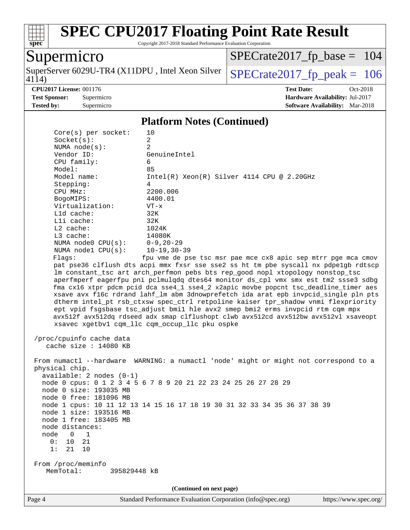

Copyright 2017-2018 Standard Performance Evaluation Corporation

## Supermicro

4114) SuperServer 6029U-TR4 (X11DPU, Intel Xeon Silver  $\sqrt{\text{SPECrate2017\_fp\_peak}} = 106$ 

[SPECrate2017\\_fp\\_base =](http://www.spec.org/auto/cpu2017/Docs/result-fields.html#SPECrate2017fpbase) 104

**[CPU2017 License:](http://www.spec.org/auto/cpu2017/Docs/result-fields.html#CPU2017License)** 001176 **[Test Date:](http://www.spec.org/auto/cpu2017/Docs/result-fields.html#TestDate)** Oct-2018 **[Test Sponsor:](http://www.spec.org/auto/cpu2017/Docs/result-fields.html#TestSponsor)** Supermicro **[Hardware Availability:](http://www.spec.org/auto/cpu2017/Docs/result-fields.html#HardwareAvailability)** Jul-2017 **[Tested by:](http://www.spec.org/auto/cpu2017/Docs/result-fields.html#Testedby)** Supermicro **[Software Availability:](http://www.spec.org/auto/cpu2017/Docs/result-fields.html#SoftwareAvailability)** Mar-2018

#### **[Platform Notes \(Continued\)](http://www.spec.org/auto/cpu2017/Docs/result-fields.html#PlatformNotes)**

| Core(s) per socket:<br>Socket(s):                                                                                         | 10<br>$\overline{a}$                                                                                                                                                                                                                                                                                                                                                                                                                                                                                                                                                                                                                                                                                                                                      |
|---------------------------------------------------------------------------------------------------------------------------|-----------------------------------------------------------------------------------------------------------------------------------------------------------------------------------------------------------------------------------------------------------------------------------------------------------------------------------------------------------------------------------------------------------------------------------------------------------------------------------------------------------------------------------------------------------------------------------------------------------------------------------------------------------------------------------------------------------------------------------------------------------|
| NUMA $node(s):$                                                                                                           | $\overline{2}$                                                                                                                                                                                                                                                                                                                                                                                                                                                                                                                                                                                                                                                                                                                                            |
| Vendor ID:                                                                                                                | GenuineIntel                                                                                                                                                                                                                                                                                                                                                                                                                                                                                                                                                                                                                                                                                                                                              |
| CPU family:                                                                                                               | 6                                                                                                                                                                                                                                                                                                                                                                                                                                                                                                                                                                                                                                                                                                                                                         |
| Model:                                                                                                                    | 85                                                                                                                                                                                                                                                                                                                                                                                                                                                                                                                                                                                                                                                                                                                                                        |
| Model name:                                                                                                               | $Intel(R) Xeon(R) Silver 4114 CPU @ 2.20GHz$                                                                                                                                                                                                                                                                                                                                                                                                                                                                                                                                                                                                                                                                                                              |
| Stepping:                                                                                                                 | 4                                                                                                                                                                                                                                                                                                                                                                                                                                                                                                                                                                                                                                                                                                                                                         |
| CPU MHz:                                                                                                                  | 2200.006                                                                                                                                                                                                                                                                                                                                                                                                                                                                                                                                                                                                                                                                                                                                                  |
| BogoMIPS:                                                                                                                 | 4400.01                                                                                                                                                                                                                                                                                                                                                                                                                                                                                                                                                                                                                                                                                                                                                   |
| Virtualization:                                                                                                           | $VT - x$                                                                                                                                                                                                                                                                                                                                                                                                                                                                                                                                                                                                                                                                                                                                                  |
| L1d cache:                                                                                                                | 32K                                                                                                                                                                                                                                                                                                                                                                                                                                                                                                                                                                                                                                                                                                                                                       |
| Lli cache:                                                                                                                | 32K                                                                                                                                                                                                                                                                                                                                                                                                                                                                                                                                                                                                                                                                                                                                                       |
| $L2$ cache:                                                                                                               | 1024K                                                                                                                                                                                                                                                                                                                                                                                                                                                                                                                                                                                                                                                                                                                                                     |
| $L3$ cache:                                                                                                               | 14080K                                                                                                                                                                                                                                                                                                                                                                                                                                                                                                                                                                                                                                                                                                                                                    |
| NUMA $node0$ $CPU(s)$ :                                                                                                   | 0-9,20-29                                                                                                                                                                                                                                                                                                                                                                                                                                                                                                                                                                                                                                                                                                                                                 |
| NUMA $node1$ $CPU(s):$                                                                                                    | $10 - 19, 30 - 39$                                                                                                                                                                                                                                                                                                                                                                                                                                                                                                                                                                                                                                                                                                                                        |
| Flags:                                                                                                                    | fpu vme de pse tsc msr pae mce cx8 apic sep mtrr pge mca cmov                                                                                                                                                                                                                                                                                                                                                                                                                                                                                                                                                                                                                                                                                             |
|                                                                                                                           | pat pse36 clflush dts acpi mmx fxsr sse sse2 ss ht tm pbe syscall nx pdpelgb rdtscp<br>lm constant_tsc art arch_perfmon pebs bts rep_good nopl xtopology nonstop_tsc<br>aperfmperf eagerfpu pni pclmulqdq dtes64 monitor ds_cpl vmx smx est tm2 ssse3 sdbg<br>fma cx16 xtpr pdcm pcid dca sse4_1 sse4_2 x2apic movbe popcnt tsc_deadline_timer aes<br>xsave avx f16c rdrand lahf_lm abm 3dnowprefetch ida arat epb invpcid_single pln pts<br>dtherm intel_pt rsb_ctxsw spec_ctrl retpoline kaiser tpr_shadow vnmi flexpriority<br>ept vpid fsgsbase tsc_adjust bmil hle avx2 smep bmi2 erms invpcid rtm cqm mpx<br>avx512f avx512dq rdseed adx smap clflushopt clwb avx512cd avx512bw avx512vl xsaveopt<br>xsavec xgetbv1 cqm_llc cqm_occup_llc pku ospke |
| /proc/cpuinfo cache data<br>cache size : 14080 KB                                                                         |                                                                                                                                                                                                                                                                                                                                                                                                                                                                                                                                                                                                                                                                                                                                                           |
| physical chip.<br>$available: 2 nodes (0-1)$<br>node 0 size: 193035 MB<br>node 0 free: 181096 MB                          | From numactl --hardware WARNING: a numactl 'node' might or might not correspond to a<br>node 0 cpus: 0 1 2 3 4 5 6 7 8 9 20 21 22 23 24 25 26 27 28 29                                                                                                                                                                                                                                                                                                                                                                                                                                                                                                                                                                                                    |
| node 1 size: 193516 MB<br>node 1 free: 183405 MB<br>node distances:<br>node<br>1<br>0<br>0:<br>10<br>21<br>10<br>1:<br>21 | node 1 cpus: 10 11 12 13 14 15 16 17 18 19 30 31 32 33 34 35 36 37 38 39                                                                                                                                                                                                                                                                                                                                                                                                                                                                                                                                                                                                                                                                                  |
| From /proc/meminfo<br>MemTotal:<br>395829448 kB                                                                           |                                                                                                                                                                                                                                                                                                                                                                                                                                                                                                                                                                                                                                                                                                                                                           |
|                                                                                                                           | (Continued on next page)                                                                                                                                                                                                                                                                                                                                                                                                                                                                                                                                                                                                                                                                                                                                  |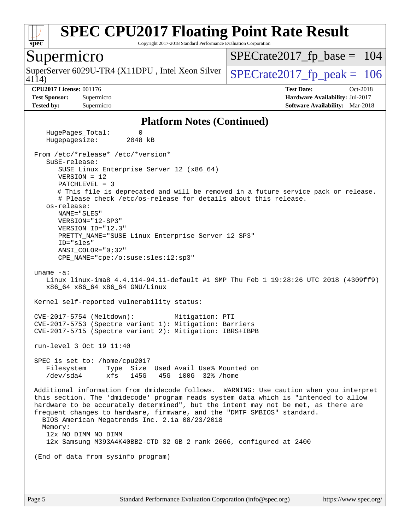

Copyright 2017-2018 Standard Performance Evaluation Corporation

#### Supermicro

4114) SuperServer 6029U-TR4 (X11DPU, Intel Xeon Silver  $\big|$  [SPECrate2017\\_fp\\_peak =](http://www.spec.org/auto/cpu2017/Docs/result-fields.html#SPECrate2017fppeak) 106

[SPECrate2017\\_fp\\_base =](http://www.spec.org/auto/cpu2017/Docs/result-fields.html#SPECrate2017fpbase) 104

**[CPU2017 License:](http://www.spec.org/auto/cpu2017/Docs/result-fields.html#CPU2017License)** 001176 **[Test Date:](http://www.spec.org/auto/cpu2017/Docs/result-fields.html#TestDate)** Oct-2018 **[Test Sponsor:](http://www.spec.org/auto/cpu2017/Docs/result-fields.html#TestSponsor)** Supermicro **[Hardware Availability:](http://www.spec.org/auto/cpu2017/Docs/result-fields.html#HardwareAvailability)** Jul-2017 **[Tested by:](http://www.spec.org/auto/cpu2017/Docs/result-fields.html#Testedby)** Supermicro **[Software Availability:](http://www.spec.org/auto/cpu2017/Docs/result-fields.html#SoftwareAvailability)** Mar-2018

#### **[Platform Notes \(Continued\)](http://www.spec.org/auto/cpu2017/Docs/result-fields.html#PlatformNotes)**

HugePages Total: 0 Hugepagesize: 2048 kB From /etc/\*release\* /etc/\*version\* SuSE-release: SUSE Linux Enterprise Server 12 (x86\_64) VERSION = 12 PATCHLEVEL = 3 # This file is deprecated and will be removed in a future service pack or release. # Please check /etc/os-release for details about this release. os-release: NAME="SLES" VERSION="12-SP3" VERSION\_ID="12.3" PRETTY\_NAME="SUSE Linux Enterprise Server 12 SP3" ID="sles" ANSI\_COLOR="0;32" CPE\_NAME="cpe:/o:suse:sles:12:sp3" uname -a: Linux linux-ima8 4.4.114-94.11-default #1 SMP Thu Feb 1 19:28:26 UTC 2018 (4309ff9) x86\_64 x86\_64 x86\_64 GNU/Linux Kernel self-reported vulnerability status: CVE-2017-5754 (Meltdown): Mitigation: PTI CVE-2017-5753 (Spectre variant 1): Mitigation: Barriers CVE-2017-5715 (Spectre variant 2): Mitigation: IBRS+IBPB run-level 3 Oct 19 11:40 SPEC is set to: /home/cpu2017 Filesystem Type Size Used Avail Use% Mounted on /dev/sda4 xfs 145G 45G 100G 32% /home Additional information from dmidecode follows. WARNING: Use caution when you interpret this section. The 'dmidecode' program reads system data which is "intended to allow hardware to be accurately determined", but the intent may not be met, as there are frequent changes to hardware, firmware, and the "DMTF SMBIOS" standard. BIOS American Megatrends Inc. 2.1a 08/23/2018 Memory: 12x NO DIMM NO DIMM 12x Samsung M393A4K40BB2-CTD 32 GB 2 rank 2666, configured at 2400 (End of data from sysinfo program)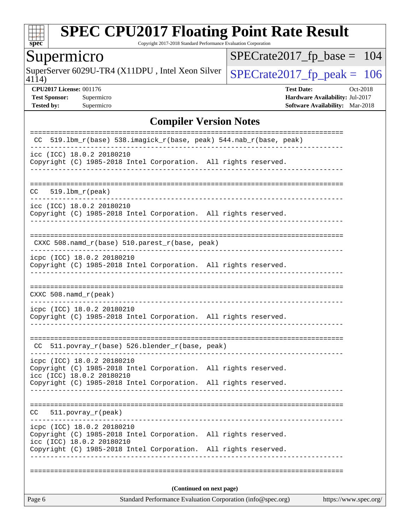

Copyright 2017-2018 Standard Performance Evaluation Corporation

## Supermicro

4114) SuperServer 6029U-TR4 (X11DPU, Intel Xeon Silver  $\sqrt{\text{SPECrate2017\_fp\_peak}} = 106$ 

[SPECrate2017\\_fp\\_base =](http://www.spec.org/auto/cpu2017/Docs/result-fields.html#SPECrate2017fpbase) 104

**[CPU2017 License:](http://www.spec.org/auto/cpu2017/Docs/result-fields.html#CPU2017License)** 001176 **[Test Date:](http://www.spec.org/auto/cpu2017/Docs/result-fields.html#TestDate)** Oct-2018 **[Test Sponsor:](http://www.spec.org/auto/cpu2017/Docs/result-fields.html#TestSponsor)** Supermicro **[Hardware Availability:](http://www.spec.org/auto/cpu2017/Docs/result-fields.html#HardwareAvailability)** Jul-2017 **[Tested by:](http://www.spec.org/auto/cpu2017/Docs/result-fields.html#Testedby)** Supermicro **Supermicro [Software Availability:](http://www.spec.org/auto/cpu2017/Docs/result-fields.html#SoftwareAvailability)** Mar-2018

#### **[Compiler Version Notes](http://www.spec.org/auto/cpu2017/Docs/result-fields.html#CompilerVersionNotes)**

| Page 6                                                                                                                     | Standard Performance Evaluation Corporation (info@spec.org)<br>https://www.spec.org/ |
|----------------------------------------------------------------------------------------------------------------------------|--------------------------------------------------------------------------------------|
|                                                                                                                            | (Continued on next page)                                                             |
|                                                                                                                            |                                                                                      |
| icc (ICC) 18.0.2 20180210<br>Copyright (C) 1985-2018 Intel Corporation. All rights reserved.                               |                                                                                      |
| icpc (ICC) 18.0.2 20180210<br>Copyright (C) 1985-2018 Intel Corporation. All rights reserved.                              |                                                                                      |
| 511.povray_r(peak)<br>CC.                                                                                                  |                                                                                      |
| Copyright (C) 1985-2018 Intel Corporation. All rights reserved.                                                            |                                                                                      |
| icpc (ICC) 18.0.2 20180210<br>Copyright (C) 1985-2018 Intel Corporation. All rights reserved.<br>icc (ICC) 18.0.2 20180210 |                                                                                      |
| CC 511.povray_r(base) 526.blender_r(base, peak)                                                                            |                                                                                      |
| icpc (ICC) 18.0.2 20180210<br>Copyright (C) 1985-2018 Intel Corporation. All rights reserved.                              |                                                                                      |
| $CXXC 508.namd_r (peak)$                                                                                                   | __________________________________                                                   |
| icpc (ICC) 18.0.2 20180210<br>Copyright (C) 1985-2018 Intel Corporation. All rights reserved.                              |                                                                                      |
| CXXC 508.namd_r(base) 510.parest_r(base, peak)                                                                             |                                                                                      |
| icc (ICC) 18.0.2 20180210<br>Copyright (C) 1985-2018 Intel Corporation. All rights reserved.                               |                                                                                      |
| $519.1bm_r(peak)$<br>CC.                                                                                                   |                                                                                      |
| icc (ICC) 18.0.2 20180210<br>Copyright (C) 1985-2018 Intel Corporation. All rights reserved.                               |                                                                                      |
| 519.1bm_r(base) 538.imagick_r(base, peak) 544.nab_r(base, peak)<br>CC.                                                     |                                                                                      |
|                                                                                                                            |                                                                                      |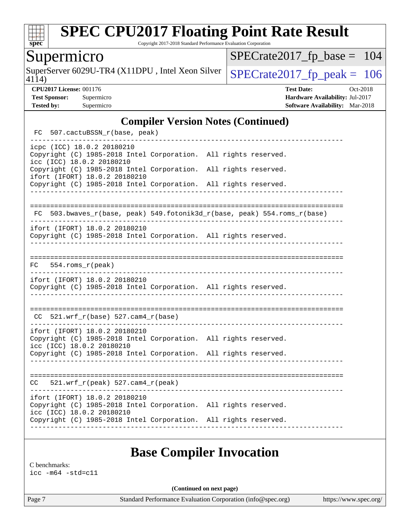

Copyright 2017-2018 Standard Performance Evaluation Corporation

## Supermicro

SuperServer 6029U-TR4 (X11DPU, Intel Xeon Silver  $\big|$  [SPECrate2017\\_fp\\_peak =](http://www.spec.org/auto/cpu2017/Docs/result-fields.html#SPECrate2017fppeak) 106

[SPECrate2017\\_fp\\_base =](http://www.spec.org/auto/cpu2017/Docs/result-fields.html#SPECrate2017fpbase) 104

4114)

**[CPU2017 License:](http://www.spec.org/auto/cpu2017/Docs/result-fields.html#CPU2017License)** 001176 **[Test Date:](http://www.spec.org/auto/cpu2017/Docs/result-fields.html#TestDate)** Oct-2018 **[Test Sponsor:](http://www.spec.org/auto/cpu2017/Docs/result-fields.html#TestSponsor)** Supermicro **[Hardware Availability:](http://www.spec.org/auto/cpu2017/Docs/result-fields.html#HardwareAvailability)** Jul-2017 **[Tested by:](http://www.spec.org/auto/cpu2017/Docs/result-fields.html#Testedby)** Supermicro **[Software Availability:](http://www.spec.org/auto/cpu2017/Docs/result-fields.html#SoftwareAvailability)** Mar-2018

#### **[Compiler Version Notes \(Continued\)](http://www.spec.org/auto/cpu2017/Docs/result-fields.html#CompilerVersionNotes)**

| icpc (ICC) 18.0.2 20180210<br>Copyright (C) 1985-2018 Intel Corporation. All rights reserved.<br>icc (ICC) 18.0.2 20180210<br>Copyright (C) 1985-2018 Intel Corporation. All rights reserved.<br>ifort (IFORT) 18.0.2 20180210<br>Copyright (C) 1985-2018 Intel Corporation. All rights reserved.<br>FC 503.bwaves_r(base, peak) 549.fotonik3d_r(base, peak) 554.roms_r(base)<br>ifort (IFORT) 18.0.2 20180210<br>Copyright (C) 1985-2018 Intel Corporation. All rights reserved.<br>$FC$ 554. roms $r$ (peak)<br>ifort (IFORT) 18.0.2 20180210<br>Copyright (C) 1985-2018 Intel Corporation. All rights reserved. |  |
|--------------------------------------------------------------------------------------------------------------------------------------------------------------------------------------------------------------------------------------------------------------------------------------------------------------------------------------------------------------------------------------------------------------------------------------------------------------------------------------------------------------------------------------------------------------------------------------------------------------------|--|
|                                                                                                                                                                                                                                                                                                                                                                                                                                                                                                                                                                                                                    |  |
|                                                                                                                                                                                                                                                                                                                                                                                                                                                                                                                                                                                                                    |  |
|                                                                                                                                                                                                                                                                                                                                                                                                                                                                                                                                                                                                                    |  |
|                                                                                                                                                                                                                                                                                                                                                                                                                                                                                                                                                                                                                    |  |
|                                                                                                                                                                                                                                                                                                                                                                                                                                                                                                                                                                                                                    |  |
|                                                                                                                                                                                                                                                                                                                                                                                                                                                                                                                                                                                                                    |  |
| $CC$ 521.wrf_r(base) 527.cam4_r(base)                                                                                                                                                                                                                                                                                                                                                                                                                                                                                                                                                                              |  |
| ifort (IFORT) 18.0.2 20180210<br>Copyright (C) 1985-2018 Intel Corporation. All rights reserved.<br>icc (ICC) 18.0.2 20180210<br>Copyright (C) 1985-2018 Intel Corporation. All rights reserved.                                                                                                                                                                                                                                                                                                                                                                                                                   |  |
| 521.wrf_r(peak) 527.cam4_r(peak)<br>CC                                                                                                                                                                                                                                                                                                                                                                                                                                                                                                                                                                             |  |
| ifort (IFORT) 18.0.2 20180210<br>Copyright (C) 1985-2018 Intel Corporation. All rights reserved.<br>icc (ICC) 18.0.2 20180210<br>Copyright (C) 1985-2018 Intel Corporation. All rights reserved.                                                                                                                                                                                                                                                                                                                                                                                                                   |  |

## **[Base Compiler Invocation](http://www.spec.org/auto/cpu2017/Docs/result-fields.html#BaseCompilerInvocation)**

[C benchmarks:](http://www.spec.org/auto/cpu2017/Docs/result-fields.html#Cbenchmarks) [icc -m64 -std=c11](http://www.spec.org/cpu2017/results/res2018q4/cpu2017-20181029-09404.flags.html#user_CCbase_intel_icc_64bit_c11_33ee0cdaae7deeeab2a9725423ba97205ce30f63b9926c2519791662299b76a0318f32ddfffdc46587804de3178b4f9328c46fa7c2b0cd779d7a61945c91cd35)

**(Continued on next page)**

Page 7 Standard Performance Evaluation Corporation [\(info@spec.org\)](mailto:info@spec.org) <https://www.spec.org/>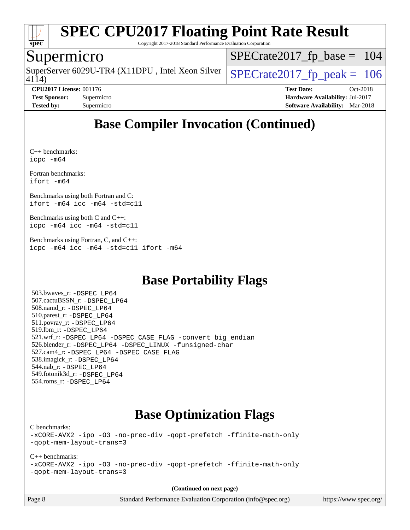

Copyright 2017-2018 Standard Performance Evaluation Corporation

### Supermicro

4114) SuperServer 6029U-TR4 (X11DPU, Intel Xeon Silver  $\big|$  [SPECrate2017\\_fp\\_peak =](http://www.spec.org/auto/cpu2017/Docs/result-fields.html#SPECrate2017fppeak) 106

[SPECrate2017\\_fp\\_base =](http://www.spec.org/auto/cpu2017/Docs/result-fields.html#SPECrate2017fpbase) 104

**[CPU2017 License:](http://www.spec.org/auto/cpu2017/Docs/result-fields.html#CPU2017License)** 001176 **[Test Date:](http://www.spec.org/auto/cpu2017/Docs/result-fields.html#TestDate)** Oct-2018 **[Test Sponsor:](http://www.spec.org/auto/cpu2017/Docs/result-fields.html#TestSponsor)** Supermicro **[Hardware Availability:](http://www.spec.org/auto/cpu2017/Docs/result-fields.html#HardwareAvailability)** Jul-2017 **[Tested by:](http://www.spec.org/auto/cpu2017/Docs/result-fields.html#Testedby)** Supermicro **[Software Availability:](http://www.spec.org/auto/cpu2017/Docs/result-fields.html#SoftwareAvailability)** Mar-2018

## **[Base Compiler Invocation \(Continued\)](http://www.spec.org/auto/cpu2017/Docs/result-fields.html#BaseCompilerInvocation)**

[C++ benchmarks](http://www.spec.org/auto/cpu2017/Docs/result-fields.html#CXXbenchmarks): [icpc -m64](http://www.spec.org/cpu2017/results/res2018q4/cpu2017-20181029-09404.flags.html#user_CXXbase_intel_icpc_64bit_4ecb2543ae3f1412ef961e0650ca070fec7b7afdcd6ed48761b84423119d1bf6bdf5cad15b44d48e7256388bc77273b966e5eb805aefd121eb22e9299b2ec9d9)

[Fortran benchmarks](http://www.spec.org/auto/cpu2017/Docs/result-fields.html#Fortranbenchmarks): [ifort -m64](http://www.spec.org/cpu2017/results/res2018q4/cpu2017-20181029-09404.flags.html#user_FCbase_intel_ifort_64bit_24f2bb282fbaeffd6157abe4f878425411749daecae9a33200eee2bee2fe76f3b89351d69a8130dd5949958ce389cf37ff59a95e7a40d588e8d3a57e0c3fd751)

[Benchmarks using both Fortran and C:](http://www.spec.org/auto/cpu2017/Docs/result-fields.html#BenchmarksusingbothFortranandC) [ifort -m64](http://www.spec.org/cpu2017/results/res2018q4/cpu2017-20181029-09404.flags.html#user_CC_FCbase_intel_ifort_64bit_24f2bb282fbaeffd6157abe4f878425411749daecae9a33200eee2bee2fe76f3b89351d69a8130dd5949958ce389cf37ff59a95e7a40d588e8d3a57e0c3fd751) [icc -m64 -std=c11](http://www.spec.org/cpu2017/results/res2018q4/cpu2017-20181029-09404.flags.html#user_CC_FCbase_intel_icc_64bit_c11_33ee0cdaae7deeeab2a9725423ba97205ce30f63b9926c2519791662299b76a0318f32ddfffdc46587804de3178b4f9328c46fa7c2b0cd779d7a61945c91cd35)

[Benchmarks using both C and C++](http://www.spec.org/auto/cpu2017/Docs/result-fields.html#BenchmarksusingbothCandCXX): [icpc -m64](http://www.spec.org/cpu2017/results/res2018q4/cpu2017-20181029-09404.flags.html#user_CC_CXXbase_intel_icpc_64bit_4ecb2543ae3f1412ef961e0650ca070fec7b7afdcd6ed48761b84423119d1bf6bdf5cad15b44d48e7256388bc77273b966e5eb805aefd121eb22e9299b2ec9d9) [icc -m64 -std=c11](http://www.spec.org/cpu2017/results/res2018q4/cpu2017-20181029-09404.flags.html#user_CC_CXXbase_intel_icc_64bit_c11_33ee0cdaae7deeeab2a9725423ba97205ce30f63b9926c2519791662299b76a0318f32ddfffdc46587804de3178b4f9328c46fa7c2b0cd779d7a61945c91cd35)

[Benchmarks using Fortran, C, and C++:](http://www.spec.org/auto/cpu2017/Docs/result-fields.html#BenchmarksusingFortranCandCXX) [icpc -m64](http://www.spec.org/cpu2017/results/res2018q4/cpu2017-20181029-09404.flags.html#user_CC_CXX_FCbase_intel_icpc_64bit_4ecb2543ae3f1412ef961e0650ca070fec7b7afdcd6ed48761b84423119d1bf6bdf5cad15b44d48e7256388bc77273b966e5eb805aefd121eb22e9299b2ec9d9) [icc -m64 -std=c11](http://www.spec.org/cpu2017/results/res2018q4/cpu2017-20181029-09404.flags.html#user_CC_CXX_FCbase_intel_icc_64bit_c11_33ee0cdaae7deeeab2a9725423ba97205ce30f63b9926c2519791662299b76a0318f32ddfffdc46587804de3178b4f9328c46fa7c2b0cd779d7a61945c91cd35) [ifort -m64](http://www.spec.org/cpu2017/results/res2018q4/cpu2017-20181029-09404.flags.html#user_CC_CXX_FCbase_intel_ifort_64bit_24f2bb282fbaeffd6157abe4f878425411749daecae9a33200eee2bee2fe76f3b89351d69a8130dd5949958ce389cf37ff59a95e7a40d588e8d3a57e0c3fd751)

## **[Base Portability Flags](http://www.spec.org/auto/cpu2017/Docs/result-fields.html#BasePortabilityFlags)**

 503.bwaves\_r: [-DSPEC\\_LP64](http://www.spec.org/cpu2017/results/res2018q4/cpu2017-20181029-09404.flags.html#suite_basePORTABILITY503_bwaves_r_DSPEC_LP64) 507.cactuBSSN\_r: [-DSPEC\\_LP64](http://www.spec.org/cpu2017/results/res2018q4/cpu2017-20181029-09404.flags.html#suite_basePORTABILITY507_cactuBSSN_r_DSPEC_LP64) 508.namd\_r: [-DSPEC\\_LP64](http://www.spec.org/cpu2017/results/res2018q4/cpu2017-20181029-09404.flags.html#suite_basePORTABILITY508_namd_r_DSPEC_LP64) 510.parest\_r: [-DSPEC\\_LP64](http://www.spec.org/cpu2017/results/res2018q4/cpu2017-20181029-09404.flags.html#suite_basePORTABILITY510_parest_r_DSPEC_LP64) 511.povray\_r: [-DSPEC\\_LP64](http://www.spec.org/cpu2017/results/res2018q4/cpu2017-20181029-09404.flags.html#suite_basePORTABILITY511_povray_r_DSPEC_LP64) 519.lbm\_r: [-DSPEC\\_LP64](http://www.spec.org/cpu2017/results/res2018q4/cpu2017-20181029-09404.flags.html#suite_basePORTABILITY519_lbm_r_DSPEC_LP64) 521.wrf\_r: [-DSPEC\\_LP64](http://www.spec.org/cpu2017/results/res2018q4/cpu2017-20181029-09404.flags.html#suite_basePORTABILITY521_wrf_r_DSPEC_LP64) [-DSPEC\\_CASE\\_FLAG](http://www.spec.org/cpu2017/results/res2018q4/cpu2017-20181029-09404.flags.html#b521.wrf_r_baseCPORTABILITY_DSPEC_CASE_FLAG) [-convert big\\_endian](http://www.spec.org/cpu2017/results/res2018q4/cpu2017-20181029-09404.flags.html#user_baseFPORTABILITY521_wrf_r_convert_big_endian_c3194028bc08c63ac5d04de18c48ce6d347e4e562e8892b8bdbdc0214820426deb8554edfa529a3fb25a586e65a3d812c835984020483e7e73212c4d31a38223) 526.blender\_r: [-DSPEC\\_LP64](http://www.spec.org/cpu2017/results/res2018q4/cpu2017-20181029-09404.flags.html#suite_basePORTABILITY526_blender_r_DSPEC_LP64) [-DSPEC\\_LINUX](http://www.spec.org/cpu2017/results/res2018q4/cpu2017-20181029-09404.flags.html#b526.blender_r_baseCPORTABILITY_DSPEC_LINUX) [-funsigned-char](http://www.spec.org/cpu2017/results/res2018q4/cpu2017-20181029-09404.flags.html#user_baseCPORTABILITY526_blender_r_force_uchar_40c60f00ab013830e2dd6774aeded3ff59883ba5a1fc5fc14077f794d777847726e2a5858cbc7672e36e1b067e7e5c1d9a74f7176df07886a243d7cc18edfe67) 527.cam4\_r: [-DSPEC\\_LP64](http://www.spec.org/cpu2017/results/res2018q4/cpu2017-20181029-09404.flags.html#suite_basePORTABILITY527_cam4_r_DSPEC_LP64) [-DSPEC\\_CASE\\_FLAG](http://www.spec.org/cpu2017/results/res2018q4/cpu2017-20181029-09404.flags.html#b527.cam4_r_baseCPORTABILITY_DSPEC_CASE_FLAG) 538.imagick\_r: [-DSPEC\\_LP64](http://www.spec.org/cpu2017/results/res2018q4/cpu2017-20181029-09404.flags.html#suite_basePORTABILITY538_imagick_r_DSPEC_LP64) 544.nab\_r: [-DSPEC\\_LP64](http://www.spec.org/cpu2017/results/res2018q4/cpu2017-20181029-09404.flags.html#suite_basePORTABILITY544_nab_r_DSPEC_LP64) 549.fotonik3d\_r: [-DSPEC\\_LP64](http://www.spec.org/cpu2017/results/res2018q4/cpu2017-20181029-09404.flags.html#suite_basePORTABILITY549_fotonik3d_r_DSPEC_LP64) 554.roms\_r: [-DSPEC\\_LP64](http://www.spec.org/cpu2017/results/res2018q4/cpu2017-20181029-09404.flags.html#suite_basePORTABILITY554_roms_r_DSPEC_LP64)

## **[Base Optimization Flags](http://www.spec.org/auto/cpu2017/Docs/result-fields.html#BaseOptimizationFlags)**

[C benchmarks](http://www.spec.org/auto/cpu2017/Docs/result-fields.html#Cbenchmarks):

[-xCORE-AVX2](http://www.spec.org/cpu2017/results/res2018q4/cpu2017-20181029-09404.flags.html#user_CCbase_f-xCORE-AVX2) [-ipo](http://www.spec.org/cpu2017/results/res2018q4/cpu2017-20181029-09404.flags.html#user_CCbase_f-ipo) [-O3](http://www.spec.org/cpu2017/results/res2018q4/cpu2017-20181029-09404.flags.html#user_CCbase_f-O3) [-no-prec-div](http://www.spec.org/cpu2017/results/res2018q4/cpu2017-20181029-09404.flags.html#user_CCbase_f-no-prec-div) [-qopt-prefetch](http://www.spec.org/cpu2017/results/res2018q4/cpu2017-20181029-09404.flags.html#user_CCbase_f-qopt-prefetch) [-ffinite-math-only](http://www.spec.org/cpu2017/results/res2018q4/cpu2017-20181029-09404.flags.html#user_CCbase_f_finite_math_only_cb91587bd2077682c4b38af759c288ed7c732db004271a9512da14a4f8007909a5f1427ecbf1a0fb78ff2a814402c6114ac565ca162485bbcae155b5e4258871) [-qopt-mem-layout-trans=3](http://www.spec.org/cpu2017/results/res2018q4/cpu2017-20181029-09404.flags.html#user_CCbase_f-qopt-mem-layout-trans_de80db37974c74b1f0e20d883f0b675c88c3b01e9d123adea9b28688d64333345fb62bc4a798493513fdb68f60282f9a726aa07f478b2f7113531aecce732043)

#### [C++ benchmarks:](http://www.spec.org/auto/cpu2017/Docs/result-fields.html#CXXbenchmarks)

[-xCORE-AVX2](http://www.spec.org/cpu2017/results/res2018q4/cpu2017-20181029-09404.flags.html#user_CXXbase_f-xCORE-AVX2) [-ipo](http://www.spec.org/cpu2017/results/res2018q4/cpu2017-20181029-09404.flags.html#user_CXXbase_f-ipo) [-O3](http://www.spec.org/cpu2017/results/res2018q4/cpu2017-20181029-09404.flags.html#user_CXXbase_f-O3) [-no-prec-div](http://www.spec.org/cpu2017/results/res2018q4/cpu2017-20181029-09404.flags.html#user_CXXbase_f-no-prec-div) [-qopt-prefetch](http://www.spec.org/cpu2017/results/res2018q4/cpu2017-20181029-09404.flags.html#user_CXXbase_f-qopt-prefetch) [-ffinite-math-only](http://www.spec.org/cpu2017/results/res2018q4/cpu2017-20181029-09404.flags.html#user_CXXbase_f_finite_math_only_cb91587bd2077682c4b38af759c288ed7c732db004271a9512da14a4f8007909a5f1427ecbf1a0fb78ff2a814402c6114ac565ca162485bbcae155b5e4258871) [-qopt-mem-layout-trans=3](http://www.spec.org/cpu2017/results/res2018q4/cpu2017-20181029-09404.flags.html#user_CXXbase_f-qopt-mem-layout-trans_de80db37974c74b1f0e20d883f0b675c88c3b01e9d123adea9b28688d64333345fb62bc4a798493513fdb68f60282f9a726aa07f478b2f7113531aecce732043)

**(Continued on next page)**

Page 8 Standard Performance Evaluation Corporation [\(info@spec.org\)](mailto:info@spec.org) <https://www.spec.org/>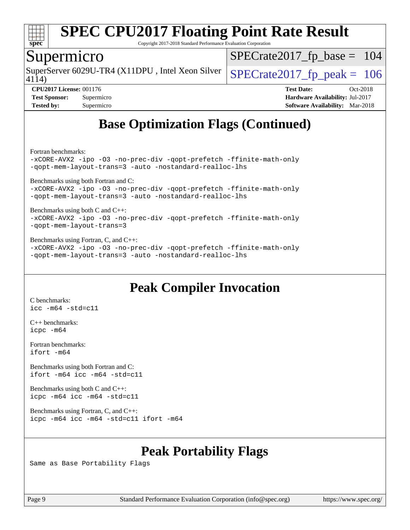

Copyright 2017-2018 Standard Performance Evaluation Corporation

### Supermicro

4114) SuperServer 6029U-TR4 (X11DPU, Intel Xeon Silver  $\big|$  [SPECrate2017\\_fp\\_peak =](http://www.spec.org/auto/cpu2017/Docs/result-fields.html#SPECrate2017fppeak) 106

[SPECrate2017\\_fp\\_base =](http://www.spec.org/auto/cpu2017/Docs/result-fields.html#SPECrate2017fpbase) 104

**[CPU2017 License:](http://www.spec.org/auto/cpu2017/Docs/result-fields.html#CPU2017License)** 001176 **[Test Date:](http://www.spec.org/auto/cpu2017/Docs/result-fields.html#TestDate)** Oct-2018 **[Test Sponsor:](http://www.spec.org/auto/cpu2017/Docs/result-fields.html#TestSponsor)** Supermicro **[Hardware Availability:](http://www.spec.org/auto/cpu2017/Docs/result-fields.html#HardwareAvailability)** Jul-2017 **[Tested by:](http://www.spec.org/auto/cpu2017/Docs/result-fields.html#Testedby)** Supermicro **[Software Availability:](http://www.spec.org/auto/cpu2017/Docs/result-fields.html#SoftwareAvailability)** Mar-2018

# **[Base Optimization Flags \(Continued\)](http://www.spec.org/auto/cpu2017/Docs/result-fields.html#BaseOptimizationFlags)**

[Fortran benchmarks](http://www.spec.org/auto/cpu2017/Docs/result-fields.html#Fortranbenchmarks):

[-xCORE-AVX2](http://www.spec.org/cpu2017/results/res2018q4/cpu2017-20181029-09404.flags.html#user_FCbase_f-xCORE-AVX2) [-ipo](http://www.spec.org/cpu2017/results/res2018q4/cpu2017-20181029-09404.flags.html#user_FCbase_f-ipo) [-O3](http://www.spec.org/cpu2017/results/res2018q4/cpu2017-20181029-09404.flags.html#user_FCbase_f-O3) [-no-prec-div](http://www.spec.org/cpu2017/results/res2018q4/cpu2017-20181029-09404.flags.html#user_FCbase_f-no-prec-div) [-qopt-prefetch](http://www.spec.org/cpu2017/results/res2018q4/cpu2017-20181029-09404.flags.html#user_FCbase_f-qopt-prefetch) [-ffinite-math-only](http://www.spec.org/cpu2017/results/res2018q4/cpu2017-20181029-09404.flags.html#user_FCbase_f_finite_math_only_cb91587bd2077682c4b38af759c288ed7c732db004271a9512da14a4f8007909a5f1427ecbf1a0fb78ff2a814402c6114ac565ca162485bbcae155b5e4258871) [-qopt-mem-layout-trans=3](http://www.spec.org/cpu2017/results/res2018q4/cpu2017-20181029-09404.flags.html#user_FCbase_f-qopt-mem-layout-trans_de80db37974c74b1f0e20d883f0b675c88c3b01e9d123adea9b28688d64333345fb62bc4a798493513fdb68f60282f9a726aa07f478b2f7113531aecce732043) [-auto](http://www.spec.org/cpu2017/results/res2018q4/cpu2017-20181029-09404.flags.html#user_FCbase_f-auto) [-nostandard-realloc-lhs](http://www.spec.org/cpu2017/results/res2018q4/cpu2017-20181029-09404.flags.html#user_FCbase_f_2003_std_realloc_82b4557e90729c0f113870c07e44d33d6f5a304b4f63d4c15d2d0f1fab99f5daaed73bdb9275d9ae411527f28b936061aa8b9c8f2d63842963b95c9dd6426b8a)

[Benchmarks using both Fortran and C](http://www.spec.org/auto/cpu2017/Docs/result-fields.html#BenchmarksusingbothFortranandC):

[-xCORE-AVX2](http://www.spec.org/cpu2017/results/res2018q4/cpu2017-20181029-09404.flags.html#user_CC_FCbase_f-xCORE-AVX2) [-ipo](http://www.spec.org/cpu2017/results/res2018q4/cpu2017-20181029-09404.flags.html#user_CC_FCbase_f-ipo) [-O3](http://www.spec.org/cpu2017/results/res2018q4/cpu2017-20181029-09404.flags.html#user_CC_FCbase_f-O3) [-no-prec-div](http://www.spec.org/cpu2017/results/res2018q4/cpu2017-20181029-09404.flags.html#user_CC_FCbase_f-no-prec-div) [-qopt-prefetch](http://www.spec.org/cpu2017/results/res2018q4/cpu2017-20181029-09404.flags.html#user_CC_FCbase_f-qopt-prefetch) [-ffinite-math-only](http://www.spec.org/cpu2017/results/res2018q4/cpu2017-20181029-09404.flags.html#user_CC_FCbase_f_finite_math_only_cb91587bd2077682c4b38af759c288ed7c732db004271a9512da14a4f8007909a5f1427ecbf1a0fb78ff2a814402c6114ac565ca162485bbcae155b5e4258871) [-qopt-mem-layout-trans=3](http://www.spec.org/cpu2017/results/res2018q4/cpu2017-20181029-09404.flags.html#user_CC_FCbase_f-qopt-mem-layout-trans_de80db37974c74b1f0e20d883f0b675c88c3b01e9d123adea9b28688d64333345fb62bc4a798493513fdb68f60282f9a726aa07f478b2f7113531aecce732043) [-auto](http://www.spec.org/cpu2017/results/res2018q4/cpu2017-20181029-09404.flags.html#user_CC_FCbase_f-auto) [-nostandard-realloc-lhs](http://www.spec.org/cpu2017/results/res2018q4/cpu2017-20181029-09404.flags.html#user_CC_FCbase_f_2003_std_realloc_82b4557e90729c0f113870c07e44d33d6f5a304b4f63d4c15d2d0f1fab99f5daaed73bdb9275d9ae411527f28b936061aa8b9c8f2d63842963b95c9dd6426b8a)

[Benchmarks using both C and C++](http://www.spec.org/auto/cpu2017/Docs/result-fields.html#BenchmarksusingbothCandCXX): [-xCORE-AVX2](http://www.spec.org/cpu2017/results/res2018q4/cpu2017-20181029-09404.flags.html#user_CC_CXXbase_f-xCORE-AVX2) [-ipo](http://www.spec.org/cpu2017/results/res2018q4/cpu2017-20181029-09404.flags.html#user_CC_CXXbase_f-ipo) [-O3](http://www.spec.org/cpu2017/results/res2018q4/cpu2017-20181029-09404.flags.html#user_CC_CXXbase_f-O3) [-no-prec-div](http://www.spec.org/cpu2017/results/res2018q4/cpu2017-20181029-09404.flags.html#user_CC_CXXbase_f-no-prec-div) [-qopt-prefetch](http://www.spec.org/cpu2017/results/res2018q4/cpu2017-20181029-09404.flags.html#user_CC_CXXbase_f-qopt-prefetch) [-ffinite-math-only](http://www.spec.org/cpu2017/results/res2018q4/cpu2017-20181029-09404.flags.html#user_CC_CXXbase_f_finite_math_only_cb91587bd2077682c4b38af759c288ed7c732db004271a9512da14a4f8007909a5f1427ecbf1a0fb78ff2a814402c6114ac565ca162485bbcae155b5e4258871) [-qopt-mem-layout-trans=3](http://www.spec.org/cpu2017/results/res2018q4/cpu2017-20181029-09404.flags.html#user_CC_CXXbase_f-qopt-mem-layout-trans_de80db37974c74b1f0e20d883f0b675c88c3b01e9d123adea9b28688d64333345fb62bc4a798493513fdb68f60282f9a726aa07f478b2f7113531aecce732043)

[Benchmarks using Fortran, C, and C++:](http://www.spec.org/auto/cpu2017/Docs/result-fields.html#BenchmarksusingFortranCandCXX) [-xCORE-AVX2](http://www.spec.org/cpu2017/results/res2018q4/cpu2017-20181029-09404.flags.html#user_CC_CXX_FCbase_f-xCORE-AVX2) [-ipo](http://www.spec.org/cpu2017/results/res2018q4/cpu2017-20181029-09404.flags.html#user_CC_CXX_FCbase_f-ipo) [-O3](http://www.spec.org/cpu2017/results/res2018q4/cpu2017-20181029-09404.flags.html#user_CC_CXX_FCbase_f-O3) [-no-prec-div](http://www.spec.org/cpu2017/results/res2018q4/cpu2017-20181029-09404.flags.html#user_CC_CXX_FCbase_f-no-prec-div) [-qopt-prefetch](http://www.spec.org/cpu2017/results/res2018q4/cpu2017-20181029-09404.flags.html#user_CC_CXX_FCbase_f-qopt-prefetch) [-ffinite-math-only](http://www.spec.org/cpu2017/results/res2018q4/cpu2017-20181029-09404.flags.html#user_CC_CXX_FCbase_f_finite_math_only_cb91587bd2077682c4b38af759c288ed7c732db004271a9512da14a4f8007909a5f1427ecbf1a0fb78ff2a814402c6114ac565ca162485bbcae155b5e4258871) [-qopt-mem-layout-trans=3](http://www.spec.org/cpu2017/results/res2018q4/cpu2017-20181029-09404.flags.html#user_CC_CXX_FCbase_f-qopt-mem-layout-trans_de80db37974c74b1f0e20d883f0b675c88c3b01e9d123adea9b28688d64333345fb62bc4a798493513fdb68f60282f9a726aa07f478b2f7113531aecce732043) [-auto](http://www.spec.org/cpu2017/results/res2018q4/cpu2017-20181029-09404.flags.html#user_CC_CXX_FCbase_f-auto) [-nostandard-realloc-lhs](http://www.spec.org/cpu2017/results/res2018q4/cpu2017-20181029-09404.flags.html#user_CC_CXX_FCbase_f_2003_std_realloc_82b4557e90729c0f113870c07e44d33d6f5a304b4f63d4c15d2d0f1fab99f5daaed73bdb9275d9ae411527f28b936061aa8b9c8f2d63842963b95c9dd6426b8a)

## **[Peak Compiler Invocation](http://www.spec.org/auto/cpu2017/Docs/result-fields.html#PeakCompilerInvocation)**

[C benchmarks](http://www.spec.org/auto/cpu2017/Docs/result-fields.html#Cbenchmarks): [icc -m64 -std=c11](http://www.spec.org/cpu2017/results/res2018q4/cpu2017-20181029-09404.flags.html#user_CCpeak_intel_icc_64bit_c11_33ee0cdaae7deeeab2a9725423ba97205ce30f63b9926c2519791662299b76a0318f32ddfffdc46587804de3178b4f9328c46fa7c2b0cd779d7a61945c91cd35)

[C++ benchmarks:](http://www.spec.org/auto/cpu2017/Docs/result-fields.html#CXXbenchmarks) [icpc -m64](http://www.spec.org/cpu2017/results/res2018q4/cpu2017-20181029-09404.flags.html#user_CXXpeak_intel_icpc_64bit_4ecb2543ae3f1412ef961e0650ca070fec7b7afdcd6ed48761b84423119d1bf6bdf5cad15b44d48e7256388bc77273b966e5eb805aefd121eb22e9299b2ec9d9)

[Fortran benchmarks](http://www.spec.org/auto/cpu2017/Docs/result-fields.html#Fortranbenchmarks): [ifort -m64](http://www.spec.org/cpu2017/results/res2018q4/cpu2017-20181029-09404.flags.html#user_FCpeak_intel_ifort_64bit_24f2bb282fbaeffd6157abe4f878425411749daecae9a33200eee2bee2fe76f3b89351d69a8130dd5949958ce389cf37ff59a95e7a40d588e8d3a57e0c3fd751)

[Benchmarks using both Fortran and C](http://www.spec.org/auto/cpu2017/Docs/result-fields.html#BenchmarksusingbothFortranandC): [ifort -m64](http://www.spec.org/cpu2017/results/res2018q4/cpu2017-20181029-09404.flags.html#user_CC_FCpeak_intel_ifort_64bit_24f2bb282fbaeffd6157abe4f878425411749daecae9a33200eee2bee2fe76f3b89351d69a8130dd5949958ce389cf37ff59a95e7a40d588e8d3a57e0c3fd751) [icc -m64 -std=c11](http://www.spec.org/cpu2017/results/res2018q4/cpu2017-20181029-09404.flags.html#user_CC_FCpeak_intel_icc_64bit_c11_33ee0cdaae7deeeab2a9725423ba97205ce30f63b9926c2519791662299b76a0318f32ddfffdc46587804de3178b4f9328c46fa7c2b0cd779d7a61945c91cd35)

[Benchmarks using both C and C++](http://www.spec.org/auto/cpu2017/Docs/result-fields.html#BenchmarksusingbothCandCXX): [icpc -m64](http://www.spec.org/cpu2017/results/res2018q4/cpu2017-20181029-09404.flags.html#user_CC_CXXpeak_intel_icpc_64bit_4ecb2543ae3f1412ef961e0650ca070fec7b7afdcd6ed48761b84423119d1bf6bdf5cad15b44d48e7256388bc77273b966e5eb805aefd121eb22e9299b2ec9d9) [icc -m64 -std=c11](http://www.spec.org/cpu2017/results/res2018q4/cpu2017-20181029-09404.flags.html#user_CC_CXXpeak_intel_icc_64bit_c11_33ee0cdaae7deeeab2a9725423ba97205ce30f63b9926c2519791662299b76a0318f32ddfffdc46587804de3178b4f9328c46fa7c2b0cd779d7a61945c91cd35)

[Benchmarks using Fortran, C, and C++:](http://www.spec.org/auto/cpu2017/Docs/result-fields.html#BenchmarksusingFortranCandCXX) [icpc -m64](http://www.spec.org/cpu2017/results/res2018q4/cpu2017-20181029-09404.flags.html#user_CC_CXX_FCpeak_intel_icpc_64bit_4ecb2543ae3f1412ef961e0650ca070fec7b7afdcd6ed48761b84423119d1bf6bdf5cad15b44d48e7256388bc77273b966e5eb805aefd121eb22e9299b2ec9d9) [icc -m64 -std=c11](http://www.spec.org/cpu2017/results/res2018q4/cpu2017-20181029-09404.flags.html#user_CC_CXX_FCpeak_intel_icc_64bit_c11_33ee0cdaae7deeeab2a9725423ba97205ce30f63b9926c2519791662299b76a0318f32ddfffdc46587804de3178b4f9328c46fa7c2b0cd779d7a61945c91cd35) [ifort -m64](http://www.spec.org/cpu2017/results/res2018q4/cpu2017-20181029-09404.flags.html#user_CC_CXX_FCpeak_intel_ifort_64bit_24f2bb282fbaeffd6157abe4f878425411749daecae9a33200eee2bee2fe76f3b89351d69a8130dd5949958ce389cf37ff59a95e7a40d588e8d3a57e0c3fd751)

## **[Peak Portability Flags](http://www.spec.org/auto/cpu2017/Docs/result-fields.html#PeakPortabilityFlags)**

Same as Base Portability Flags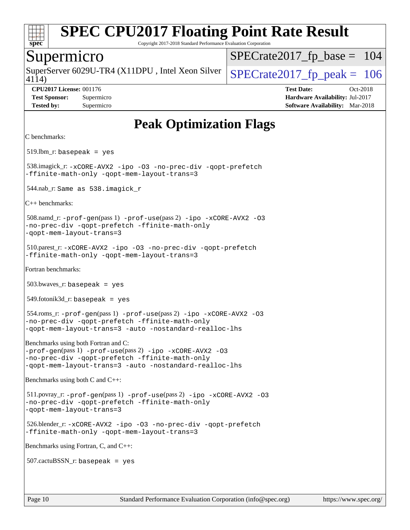

Copyright 2017-2018 Standard Performance Evaluation Corporation

#### Supermicro

4114) SuperServer 6029U-TR4 (X11DPU, Intel Xeon Silver  $\vert$  [SPECrate2017\\_fp\\_peak =](http://www.spec.org/auto/cpu2017/Docs/result-fields.html#SPECrate2017fppeak) 106

[SPECrate2017\\_fp\\_base =](http://www.spec.org/auto/cpu2017/Docs/result-fields.html#SPECrate2017fpbase) 104

**[CPU2017 License:](http://www.spec.org/auto/cpu2017/Docs/result-fields.html#CPU2017License)** 001176 **[Test Date:](http://www.spec.org/auto/cpu2017/Docs/result-fields.html#TestDate)** Oct-2018 **[Test Sponsor:](http://www.spec.org/auto/cpu2017/Docs/result-fields.html#TestSponsor)** Supermicro **[Hardware Availability:](http://www.spec.org/auto/cpu2017/Docs/result-fields.html#HardwareAvailability)** Jul-2017 **[Tested by:](http://www.spec.org/auto/cpu2017/Docs/result-fields.html#Testedby)** Supermicro **[Software Availability:](http://www.spec.org/auto/cpu2017/Docs/result-fields.html#SoftwareAvailability)** Mar-2018

**[Peak Optimization Flags](http://www.spec.org/auto/cpu2017/Docs/result-fields.html#PeakOptimizationFlags)** [C benchmarks](http://www.spec.org/auto/cpu2017/Docs/result-fields.html#Cbenchmarks): 519.lbm\_r: basepeak = yes 538.imagick\_r: [-xCORE-AVX2](http://www.spec.org/cpu2017/results/res2018q4/cpu2017-20181029-09404.flags.html#user_peakCOPTIMIZE538_imagick_r_f-xCORE-AVX2) [-ipo](http://www.spec.org/cpu2017/results/res2018q4/cpu2017-20181029-09404.flags.html#user_peakCOPTIMIZE538_imagick_r_f-ipo) [-O3](http://www.spec.org/cpu2017/results/res2018q4/cpu2017-20181029-09404.flags.html#user_peakCOPTIMIZE538_imagick_r_f-O3) [-no-prec-div](http://www.spec.org/cpu2017/results/res2018q4/cpu2017-20181029-09404.flags.html#user_peakCOPTIMIZE538_imagick_r_f-no-prec-div) [-qopt-prefetch](http://www.spec.org/cpu2017/results/res2018q4/cpu2017-20181029-09404.flags.html#user_peakCOPTIMIZE538_imagick_r_f-qopt-prefetch) [-ffinite-math-only](http://www.spec.org/cpu2017/results/res2018q4/cpu2017-20181029-09404.flags.html#user_peakCOPTIMIZE538_imagick_r_f_finite_math_only_cb91587bd2077682c4b38af759c288ed7c732db004271a9512da14a4f8007909a5f1427ecbf1a0fb78ff2a814402c6114ac565ca162485bbcae155b5e4258871) [-qopt-mem-layout-trans=3](http://www.spec.org/cpu2017/results/res2018q4/cpu2017-20181029-09404.flags.html#user_peakCOPTIMIZE538_imagick_r_f-qopt-mem-layout-trans_de80db37974c74b1f0e20d883f0b675c88c3b01e9d123adea9b28688d64333345fb62bc4a798493513fdb68f60282f9a726aa07f478b2f7113531aecce732043) 544.nab\_r: Same as 538.imagick\_r [C++ benchmarks](http://www.spec.org/auto/cpu2017/Docs/result-fields.html#CXXbenchmarks): 508.namd\_r: [-prof-gen](http://www.spec.org/cpu2017/results/res2018q4/cpu2017-20181029-09404.flags.html#user_peakPASS1_CXXFLAGSPASS1_LDFLAGS508_namd_r_prof_gen_5aa4926d6013ddb2a31985c654b3eb18169fc0c6952a63635c234f711e6e63dd76e94ad52365559451ec499a2cdb89e4dc58ba4c67ef54ca681ffbe1461d6b36)(pass 1) [-prof-use](http://www.spec.org/cpu2017/results/res2018q4/cpu2017-20181029-09404.flags.html#user_peakPASS2_CXXFLAGSPASS2_LDFLAGS508_namd_r_prof_use_1a21ceae95f36a2b53c25747139a6c16ca95bd9def2a207b4f0849963b97e94f5260e30a0c64f4bb623698870e679ca08317ef8150905d41bd88c6f78df73f19)(pass 2) [-ipo](http://www.spec.org/cpu2017/results/res2018q4/cpu2017-20181029-09404.flags.html#user_peakPASS1_CXXOPTIMIZEPASS2_CXXOPTIMIZE508_namd_r_f-ipo) [-xCORE-AVX2](http://www.spec.org/cpu2017/results/res2018q4/cpu2017-20181029-09404.flags.html#user_peakPASS2_CXXOPTIMIZE508_namd_r_f-xCORE-AVX2) [-O3](http://www.spec.org/cpu2017/results/res2018q4/cpu2017-20181029-09404.flags.html#user_peakPASS1_CXXOPTIMIZEPASS2_CXXOPTIMIZE508_namd_r_f-O3) [-no-prec-div](http://www.spec.org/cpu2017/results/res2018q4/cpu2017-20181029-09404.flags.html#user_peakPASS1_CXXOPTIMIZEPASS2_CXXOPTIMIZE508_namd_r_f-no-prec-div) [-qopt-prefetch](http://www.spec.org/cpu2017/results/res2018q4/cpu2017-20181029-09404.flags.html#user_peakPASS1_CXXOPTIMIZEPASS2_CXXOPTIMIZE508_namd_r_f-qopt-prefetch) [-ffinite-math-only](http://www.spec.org/cpu2017/results/res2018q4/cpu2017-20181029-09404.flags.html#user_peakPASS1_CXXOPTIMIZEPASS2_CXXOPTIMIZE508_namd_r_f_finite_math_only_cb91587bd2077682c4b38af759c288ed7c732db004271a9512da14a4f8007909a5f1427ecbf1a0fb78ff2a814402c6114ac565ca162485bbcae155b5e4258871) [-qopt-mem-layout-trans=3](http://www.spec.org/cpu2017/results/res2018q4/cpu2017-20181029-09404.flags.html#user_peakPASS1_CXXOPTIMIZEPASS2_CXXOPTIMIZE508_namd_r_f-qopt-mem-layout-trans_de80db37974c74b1f0e20d883f0b675c88c3b01e9d123adea9b28688d64333345fb62bc4a798493513fdb68f60282f9a726aa07f478b2f7113531aecce732043) 510.parest\_r: [-xCORE-AVX2](http://www.spec.org/cpu2017/results/res2018q4/cpu2017-20181029-09404.flags.html#user_peakCXXOPTIMIZE510_parest_r_f-xCORE-AVX2) [-ipo](http://www.spec.org/cpu2017/results/res2018q4/cpu2017-20181029-09404.flags.html#user_peakCXXOPTIMIZE510_parest_r_f-ipo) [-O3](http://www.spec.org/cpu2017/results/res2018q4/cpu2017-20181029-09404.flags.html#user_peakCXXOPTIMIZE510_parest_r_f-O3) [-no-prec-div](http://www.spec.org/cpu2017/results/res2018q4/cpu2017-20181029-09404.flags.html#user_peakCXXOPTIMIZE510_parest_r_f-no-prec-div) [-qopt-prefetch](http://www.spec.org/cpu2017/results/res2018q4/cpu2017-20181029-09404.flags.html#user_peakCXXOPTIMIZE510_parest_r_f-qopt-prefetch) [-ffinite-math-only](http://www.spec.org/cpu2017/results/res2018q4/cpu2017-20181029-09404.flags.html#user_peakCXXOPTIMIZE510_parest_r_f_finite_math_only_cb91587bd2077682c4b38af759c288ed7c732db004271a9512da14a4f8007909a5f1427ecbf1a0fb78ff2a814402c6114ac565ca162485bbcae155b5e4258871) [-qopt-mem-layout-trans=3](http://www.spec.org/cpu2017/results/res2018q4/cpu2017-20181029-09404.flags.html#user_peakCXXOPTIMIZE510_parest_r_f-qopt-mem-layout-trans_de80db37974c74b1f0e20d883f0b675c88c3b01e9d123adea9b28688d64333345fb62bc4a798493513fdb68f60282f9a726aa07f478b2f7113531aecce732043) [Fortran benchmarks:](http://www.spec.org/auto/cpu2017/Docs/result-fields.html#Fortranbenchmarks)  $503.bwaves$  r: basepeak = yes 549.fotonik3d\_r: basepeak = yes 554.roms\_r: [-prof-gen](http://www.spec.org/cpu2017/results/res2018q4/cpu2017-20181029-09404.flags.html#user_peakPASS1_FFLAGSPASS1_LDFLAGS554_roms_r_prof_gen_5aa4926d6013ddb2a31985c654b3eb18169fc0c6952a63635c234f711e6e63dd76e94ad52365559451ec499a2cdb89e4dc58ba4c67ef54ca681ffbe1461d6b36)(pass 1) [-prof-use](http://www.spec.org/cpu2017/results/res2018q4/cpu2017-20181029-09404.flags.html#user_peakPASS2_FFLAGSPASS2_LDFLAGS554_roms_r_prof_use_1a21ceae95f36a2b53c25747139a6c16ca95bd9def2a207b4f0849963b97e94f5260e30a0c64f4bb623698870e679ca08317ef8150905d41bd88c6f78df73f19)(pass 2) [-ipo](http://www.spec.org/cpu2017/results/res2018q4/cpu2017-20181029-09404.flags.html#user_peakPASS1_FOPTIMIZEPASS2_FOPTIMIZE554_roms_r_f-ipo) [-xCORE-AVX2](http://www.spec.org/cpu2017/results/res2018q4/cpu2017-20181029-09404.flags.html#user_peakPASS2_FOPTIMIZE554_roms_r_f-xCORE-AVX2) [-O3](http://www.spec.org/cpu2017/results/res2018q4/cpu2017-20181029-09404.flags.html#user_peakPASS1_FOPTIMIZEPASS2_FOPTIMIZE554_roms_r_f-O3) [-no-prec-div](http://www.spec.org/cpu2017/results/res2018q4/cpu2017-20181029-09404.flags.html#user_peakPASS1_FOPTIMIZEPASS2_FOPTIMIZE554_roms_r_f-no-prec-div) [-qopt-prefetch](http://www.spec.org/cpu2017/results/res2018q4/cpu2017-20181029-09404.flags.html#user_peakPASS1_FOPTIMIZEPASS2_FOPTIMIZE554_roms_r_f-qopt-prefetch) [-ffinite-math-only](http://www.spec.org/cpu2017/results/res2018q4/cpu2017-20181029-09404.flags.html#user_peakPASS1_FOPTIMIZEPASS2_FOPTIMIZE554_roms_r_f_finite_math_only_cb91587bd2077682c4b38af759c288ed7c732db004271a9512da14a4f8007909a5f1427ecbf1a0fb78ff2a814402c6114ac565ca162485bbcae155b5e4258871) [-qopt-mem-layout-trans=3](http://www.spec.org/cpu2017/results/res2018q4/cpu2017-20181029-09404.flags.html#user_peakPASS1_FOPTIMIZEPASS2_FOPTIMIZE554_roms_r_f-qopt-mem-layout-trans_de80db37974c74b1f0e20d883f0b675c88c3b01e9d123adea9b28688d64333345fb62bc4a798493513fdb68f60282f9a726aa07f478b2f7113531aecce732043) [-auto](http://www.spec.org/cpu2017/results/res2018q4/cpu2017-20181029-09404.flags.html#user_peakPASS2_FOPTIMIZE554_roms_r_f-auto) [-nostandard-realloc-lhs](http://www.spec.org/cpu2017/results/res2018q4/cpu2017-20181029-09404.flags.html#user_peakEXTRA_FOPTIMIZE554_roms_r_f_2003_std_realloc_82b4557e90729c0f113870c07e44d33d6f5a304b4f63d4c15d2d0f1fab99f5daaed73bdb9275d9ae411527f28b936061aa8b9c8f2d63842963b95c9dd6426b8a) [Benchmarks using both Fortran and C](http://www.spec.org/auto/cpu2017/Docs/result-fields.html#BenchmarksusingbothFortranandC): [-prof-gen](http://www.spec.org/cpu2017/results/res2018q4/cpu2017-20181029-09404.flags.html#user_CC_FCpeak_prof_gen_5aa4926d6013ddb2a31985c654b3eb18169fc0c6952a63635c234f711e6e63dd76e94ad52365559451ec499a2cdb89e4dc58ba4c67ef54ca681ffbe1461d6b36)(pass 1) [-prof-use](http://www.spec.org/cpu2017/results/res2018q4/cpu2017-20181029-09404.flags.html#user_CC_FCpeak_prof_use_1a21ceae95f36a2b53c25747139a6c16ca95bd9def2a207b4f0849963b97e94f5260e30a0c64f4bb623698870e679ca08317ef8150905d41bd88c6f78df73f19)(pass 2) [-ipo](http://www.spec.org/cpu2017/results/res2018q4/cpu2017-20181029-09404.flags.html#user_CC_FCpeak_f-ipo) [-xCORE-AVX2](http://www.spec.org/cpu2017/results/res2018q4/cpu2017-20181029-09404.flags.html#user_CC_FCpeak_f-xCORE-AVX2) [-O3](http://www.spec.org/cpu2017/results/res2018q4/cpu2017-20181029-09404.flags.html#user_CC_FCpeak_f-O3) [-no-prec-div](http://www.spec.org/cpu2017/results/res2018q4/cpu2017-20181029-09404.flags.html#user_CC_FCpeak_f-no-prec-div) [-qopt-prefetch](http://www.spec.org/cpu2017/results/res2018q4/cpu2017-20181029-09404.flags.html#user_CC_FCpeak_f-qopt-prefetch) [-ffinite-math-only](http://www.spec.org/cpu2017/results/res2018q4/cpu2017-20181029-09404.flags.html#user_CC_FCpeak_f_finite_math_only_cb91587bd2077682c4b38af759c288ed7c732db004271a9512da14a4f8007909a5f1427ecbf1a0fb78ff2a814402c6114ac565ca162485bbcae155b5e4258871) [-qopt-mem-layout-trans=3](http://www.spec.org/cpu2017/results/res2018q4/cpu2017-20181029-09404.flags.html#user_CC_FCpeak_f-qopt-mem-layout-trans_de80db37974c74b1f0e20d883f0b675c88c3b01e9d123adea9b28688d64333345fb62bc4a798493513fdb68f60282f9a726aa07f478b2f7113531aecce732043) [-auto](http://www.spec.org/cpu2017/results/res2018q4/cpu2017-20181029-09404.flags.html#user_CC_FCpeak_f-auto) [-nostandard-realloc-lhs](http://www.spec.org/cpu2017/results/res2018q4/cpu2017-20181029-09404.flags.html#user_CC_FCpeak_f_2003_std_realloc_82b4557e90729c0f113870c07e44d33d6f5a304b4f63d4c15d2d0f1fab99f5daaed73bdb9275d9ae411527f28b936061aa8b9c8f2d63842963b95c9dd6426b8a) [Benchmarks using both C and C++:](http://www.spec.org/auto/cpu2017/Docs/result-fields.html#BenchmarksusingbothCandCXX) 511.povray\_r: [-prof-gen](http://www.spec.org/cpu2017/results/res2018q4/cpu2017-20181029-09404.flags.html#user_peakPASS1_CFLAGSPASS1_CXXFLAGSPASS1_LDFLAGS511_povray_r_prof_gen_5aa4926d6013ddb2a31985c654b3eb18169fc0c6952a63635c234f711e6e63dd76e94ad52365559451ec499a2cdb89e4dc58ba4c67ef54ca681ffbe1461d6b36)(pass 1) [-prof-use](http://www.spec.org/cpu2017/results/res2018q4/cpu2017-20181029-09404.flags.html#user_peakPASS2_CFLAGSPASS2_CXXFLAGSPASS2_LDFLAGS511_povray_r_prof_use_1a21ceae95f36a2b53c25747139a6c16ca95bd9def2a207b4f0849963b97e94f5260e30a0c64f4bb623698870e679ca08317ef8150905d41bd88c6f78df73f19)(pass 2) [-ipo](http://www.spec.org/cpu2017/results/res2018q4/cpu2017-20181029-09404.flags.html#user_peakPASS1_COPTIMIZEPASS1_CXXOPTIMIZEPASS2_COPTIMIZEPASS2_CXXOPTIMIZE511_povray_r_f-ipo) [-xCORE-AVX2](http://www.spec.org/cpu2017/results/res2018q4/cpu2017-20181029-09404.flags.html#user_peakPASS2_COPTIMIZEPASS2_CXXOPTIMIZE511_povray_r_f-xCORE-AVX2) [-O3](http://www.spec.org/cpu2017/results/res2018q4/cpu2017-20181029-09404.flags.html#user_peakPASS1_COPTIMIZEPASS1_CXXOPTIMIZEPASS2_COPTIMIZEPASS2_CXXOPTIMIZE511_povray_r_f-O3) [-no-prec-div](http://www.spec.org/cpu2017/results/res2018q4/cpu2017-20181029-09404.flags.html#user_peakPASS1_COPTIMIZEPASS1_CXXOPTIMIZEPASS2_COPTIMIZEPASS2_CXXOPTIMIZE511_povray_r_f-no-prec-div) [-qopt-prefetch](http://www.spec.org/cpu2017/results/res2018q4/cpu2017-20181029-09404.flags.html#user_peakPASS1_COPTIMIZEPASS1_CXXOPTIMIZEPASS2_COPTIMIZEPASS2_CXXOPTIMIZE511_povray_r_f-qopt-prefetch) [-ffinite-math-only](http://www.spec.org/cpu2017/results/res2018q4/cpu2017-20181029-09404.flags.html#user_peakPASS1_COPTIMIZEPASS1_CXXOPTIMIZEPASS2_COPTIMIZEPASS2_CXXOPTIMIZE511_povray_r_f_finite_math_only_cb91587bd2077682c4b38af759c288ed7c732db004271a9512da14a4f8007909a5f1427ecbf1a0fb78ff2a814402c6114ac565ca162485bbcae155b5e4258871) [-qopt-mem-layout-trans=3](http://www.spec.org/cpu2017/results/res2018q4/cpu2017-20181029-09404.flags.html#user_peakPASS1_COPTIMIZEPASS1_CXXOPTIMIZEPASS2_COPTIMIZEPASS2_CXXOPTIMIZE511_povray_r_f-qopt-mem-layout-trans_de80db37974c74b1f0e20d883f0b675c88c3b01e9d123adea9b28688d64333345fb62bc4a798493513fdb68f60282f9a726aa07f478b2f7113531aecce732043) 526.blender\_r: [-xCORE-AVX2](http://www.spec.org/cpu2017/results/res2018q4/cpu2017-20181029-09404.flags.html#user_peakCOPTIMIZECXXOPTIMIZE526_blender_r_f-xCORE-AVX2) [-ipo](http://www.spec.org/cpu2017/results/res2018q4/cpu2017-20181029-09404.flags.html#user_peakCOPTIMIZECXXOPTIMIZE526_blender_r_f-ipo) [-O3](http://www.spec.org/cpu2017/results/res2018q4/cpu2017-20181029-09404.flags.html#user_peakCOPTIMIZECXXOPTIMIZE526_blender_r_f-O3) [-no-prec-div](http://www.spec.org/cpu2017/results/res2018q4/cpu2017-20181029-09404.flags.html#user_peakCOPTIMIZECXXOPTIMIZE526_blender_r_f-no-prec-div) [-qopt-prefetch](http://www.spec.org/cpu2017/results/res2018q4/cpu2017-20181029-09404.flags.html#user_peakCOPTIMIZECXXOPTIMIZE526_blender_r_f-qopt-prefetch) [-ffinite-math-only](http://www.spec.org/cpu2017/results/res2018q4/cpu2017-20181029-09404.flags.html#user_peakCOPTIMIZECXXOPTIMIZE526_blender_r_f_finite_math_only_cb91587bd2077682c4b38af759c288ed7c732db004271a9512da14a4f8007909a5f1427ecbf1a0fb78ff2a814402c6114ac565ca162485bbcae155b5e4258871) [-qopt-mem-layout-trans=3](http://www.spec.org/cpu2017/results/res2018q4/cpu2017-20181029-09404.flags.html#user_peakCOPTIMIZECXXOPTIMIZE526_blender_r_f-qopt-mem-layout-trans_de80db37974c74b1f0e20d883f0b675c88c3b01e9d123adea9b28688d64333345fb62bc4a798493513fdb68f60282f9a726aa07f478b2f7113531aecce732043) [Benchmarks using Fortran, C, and C++](http://www.spec.org/auto/cpu2017/Docs/result-fields.html#BenchmarksusingFortranCandCXX):  $507$ .cactu $BSSN$  r: basepeak = yes